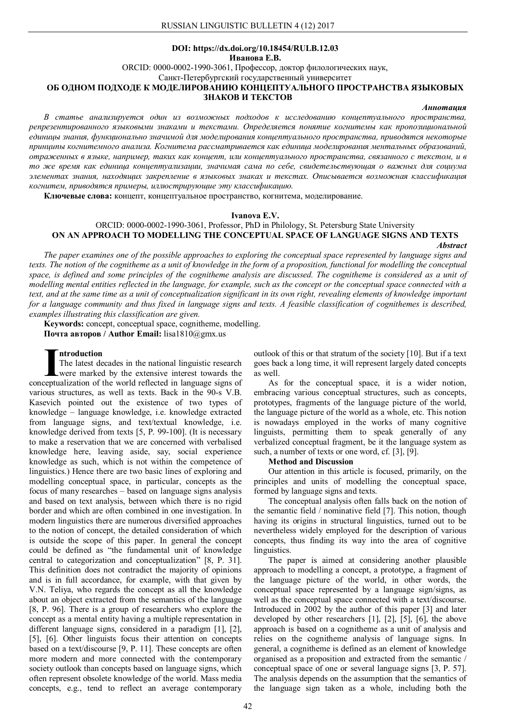### **DOI: https://dx.doi.org/10.18454/RULB.12.03 Иванова Е.В.**

ORCID: 0000-0002-1990-3061, Профессор, доктор филологических наук,

Санкт-Петербургский государственный университет

# **ОБ ОДНОМ ПОДХОДЕ К МОДЕЛИРОВАНИЮ КОНЦЕПТУАЛЬНОГО ПРОСТРАНСТВА ЯЗЫКОВЫХ ЗНАКОВ И ТЕКСТОВ**

## *Аннотация*

*В статье анализируется один из возможных подходов к исследованию концептуального пространства, репрезентированного языковыми знаками и текстами. Определяется понятие когнитемы как пропозициональной единицы знания, функционально значимой для моделирования концептуального пространства, приводятся некоторые принципы когнитемного анализа. Когнитема рассматривается как единица моделирования ментальных образований, отраженных в языке, например, таких как концепт, или концептуального пространства, связанного с текстом, и в то же время как единица концептуализации, значимая сама по себе, свидетельствующая о важных для социума элементах знания, находящих закрепление в языковых знаках и текстах. Описывается возможная классификация когнитем, приводятся примеры, иллюстрирующие эту классификацию.*

**Ключевые слова:** концепт, концептуальное пространство, когнитема, моделирование.

#### **Ivanova E.V.**

# ORCID: 0000-0002-1990-3061, Professor, PhD in Philology, St. Petersburg State University **ON AN APPROACH TO MODELLING THE CONCEPTUAL SPACE OF LANGUAGE SIGNS AND TEXTS**

#### *Abstract*

*The paper examines one of the possible approaches to exploring the conceptual space represented by language signs and texts. The notion of the cognitheme as a unit of knowledge in the form of a proposition, functional for modelling the conceptual space, is defined and some principles of the cognitheme analysis are discussed. The cognitheme is considered as a unit of modelling mental entities reflected in the language, for example, such as the concept or the conceptual space connected with a*  text, and at the same time as a unit of conceptualization significant in its own right, revealing elements of knowledge important *for a language community and thus fixed in language signs and texts. A feasible classification of cognithemes is described, examples illustrating this classification are given.*

**Keywords:** concept, conceptual space, cognitheme, modelling. **Почта авторов / Author Email:** lisa1810@gmx.us

## **ntroduction**

The latest decades in the national linguistic research were marked by the extensive interest towards the The latest decades in the national linguistic research<br>were marked by the extensive interest towards the<br>conceptualization of the world reflected in language signs of various structures, as well as texts. Back in the 90-s V.B. Kasevich pointed out the existence of two types of knowledge – language knowledge, i.e. knowledge extracted from language signs, and text/textual knowledge, i.e. knowledge derived from texts [5, P. 99-100]. (It is necessary to make a reservation that we are concerned with verbalised knowledge here, leaving aside, say, social experience knowledge as such, which is not within the competence of linguistics.) Hence there are two basic lines of exploring and modelling conceptual space, in particular, concepts as the focus of many researches – based on language signs analysis and based on text analysis, between which there is no rigid border and which are often combined in one investigation. In modern linguistics there are numerous diversified approaches to the notion of concept, the detailed consideration of which is outside the scope of this paper. In general the concept could be defined as "the fundamental unit of knowledge central to categorization and conceptualization" [8, P. 31]. This definition does not contradict the majority of opinions and is in full accordance, for example, with that given by V.N. Teliya, who regards the concept as all the knowledge about an object extracted from the semantics of the language [8, P. 96]. There is a group of researchers who explore the concept as a mental entity having a multiple representation in different language signs, considered in a paradigm [1], [2], [5], [6]. Other linguists focus their attention on concepts based on a text/discourse [9, P. 11]. These concepts are often more modern and more connected with the contemporary society outlook than concepts based on language signs, which often represent obsolete knowledge of the world. Mass media concepts, e.g., tend to reflect an average contemporary

outlook of this or that stratum of the society [10]. But if a text goes back a long time, it will represent largely dated concepts as well.

As for the conceptual space, it is a wider notion, embracing various conceptual structures, such as concepts, prototypes, fragments of the language picture of the world, the language picture of the world as a whole, etc. This notion is nowadays employed in the works of many cognitive linguists, permitting them to speak generally of any verbalized conceptual fragment, be it the language system as such, a number of texts or one word, cf. [3], [9].

#### **Method and Discussion**

Our attention in this article is focused, primarily, on the principles and units of modelling the conceptual space, formed by language signs and texts.

The conceptual analysis often falls back on the notion of the semantic field / nominative field [7]. This notion, though having its origins in structural linguistics, turned out to be nevertheless widely employed for the description of various concepts, thus finding its way into the area of cognitive linguistics.

The paper is aimed at considering another plausible approach to modelling a concept, a prototype, a fragment of the language picture of the world, in other words, the conceptual space represented by a language sign/signs, as well as the conceptual space connected with a text/discourse. Introduced in 2002 by the author of this paper [3] and later developed by other researchers [1], [2], [5], [6], the above approach is based on a cognitheme as a unit of analysis and relies on the cognitheme analysis of language signs. In general, a cognitheme is defined as an element of knowledge organised as a proposition and extracted from the semantic / conceptual space of one or several language signs [3, P. 57]. The analysis depends on the assumption that the semantics of the language sign taken as a whole, including both the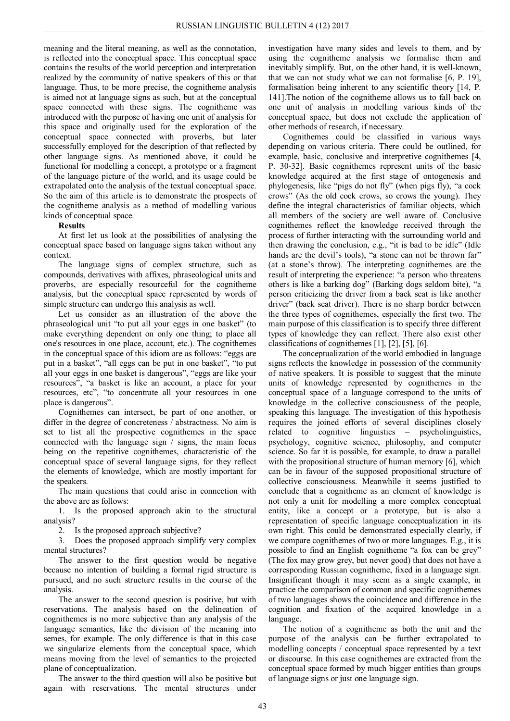meaning and the literal meaning, as well as the connotation, is reflected into the conceptual space. This conceptual space contains the results of the world perception and interpretation realized by the community of native speakers of this or that language. Thus, to be more precise, the cognitheme analysis is aimed not at language signs as such, but at the conceptual space connected with these signs. The cognitheme was introduced with the purpose of having one unit of analysis for this space and originally used for the exploration of the conceptual space connected with proverbs, but later successfully employed for the description of that reflected by other language signs. As mentioned above, it could be functional for modelling a concept, a prototype or a fragment of the language picture of the world, and its usage could be extrapolated onto the analysis of the textual conceptual space. So the aim of this article is to demonstrate the prospects of the cognitheme analysis as a method of modelling various kinds of conceptual space.

# **Results**

At first let us look at the possibilities of analysing the conceptual space based on language signs taken without any context.

The language signs of complex structure, such as compounds, derivatives with affixes, phraseological units and proverbs, are especially resourceful for the cognitheme analysis, but the conceptual space represented by words of simple structure can undergo this analysis as well.

Let us consider as an illustration of the above the phraseological unit "to put all your eggs in one basket" (to make everything dependent on only one thing; to place all one's resources in one place, account, etc.). The cognithemes in the conceptual space of this idiom are as follows: "eggs are put in a basket", "all eggs can be put in one basket", "to put all your eggs in one basket is dangerous", "eggs are like your resources", "a basket is like an account, a place for your resources, etc", "to concentrate all your resources in one place is dangerous".

Cognithemes can intersect, be part of one another, or differ in the degree of concreteness / abstractness. No aim is set to list all the prospective cognithemes in the space connected with the language sign / signs, the main focus being on the repetitive cognithemes, characteristic of the conceptual space of several language signs, for they reflect the elements of knowledge, which are mostly important for the speakers.

The main questions that could arise in connection with the above are as follows:

1. Is the proposed approach akin to the structural analysis?

2. Is the proposed approach subjective?

3. Does the proposed approach simplify very complex mental structures?

The answer to the first question would be negative because no intention of building a formal rigid structure is pursued, and no such structure results in the course of the analysis.

The answer to the second question is positive, but with reservations. The analysis based on the delineation of cognithemes is no more subjective than any analysis of the language semantics, like the division of the meaning into semes, for example. The only difference is that in this case we singularize elements from the conceptual space, which means moving from the level of semantics to the projected plane of conceptualization.

The answer to the third question will also be positive but again with reservations. The mental structures under

investigation have many sides and levels to them, and by using the cognitheme analysis we formalise them and inevitably simplify. But, on the other hand, it is well-known, that we can not study what we can not formalise [6, P. 19], formalisation being inherent to any scientific theory [14, P. 141].The notion of the cognitheme allows us to fall back on one unit of analysis in modelling various kinds of the conceptual space, but does not exclude the application of other methods of research, if necessary.

Cognithemes could be classified in various ways depending on various criteria. There could be outlined, for example, basic, conclusive and interpretive cognithemes [4, P. 30-32]. Basic cognithemes represent units of the basic knowledge acquired at the first stage of ontogenesis and phylogenesis, like "pigs do not fly" (when pigs fly), "a cock crows" (As the old cock crows, so crows the young). They define the integral characteristics of familiar objects, which all members of the society are well aware of. Conclusive cognithemes reflect the knowledge received through the process of further interacting with the surrounding world and then drawing the conclusion, e.g., "it is bad to be idle" (Idle hands are the devil's tools), "a stone can not be thrown far" (at a stone's throw). The interpreting cognithemes are the result of interpreting the experience: "a person who threatens others is like a barking dog" (Barking dogs seldom bite), "a person criticizing the driver from a back seat is like another driver" (back seat driver). There is no sharp border between the three types of cognithemes, especially the first two. The main purpose of this classification is to specify three different types of knowledge they can reflect. There also exist other classifications of cognithemes [1], [2], [5], [6].

The conceptualization of the world embodied in language signs reflects the knowledge in possession of the community of native speakers. It is possible to suggest that the minute units of knowledge represented by cognithemes in the conceptual space of a language correspond to the units of knowledge in the collective consciousness of the people, speaking this language. The investigation of this hypothesis requires the joined efforts of several disciplines closely related to cognitive linguistics – psycholinguistics, psychology, cognitive science, philosophy, and computer science. So far it is possible, for example, to draw a parallel with the propositional structure of human memory [6], which can be in favour of the supposed propositional structure of collective consciousness. Meanwhile it seems justified to conclude that a cognitheme as an element of knowledge is not only a unit for modelling a more complex conceptual entity, like a concept or a prototype, but is also a representation of specific language conceptualization in its own right. This could be demonstrated especially clearly, if we compare cognithemes of two or more languages. E.g., it is possible to find an English cognitheme "a fox can be grey" (The fox may grow grey, but never good) that does not have a corresponding Russian cognitheme, fixed in a language sign. Insignificant though it may seem as a single example, in practice the comparison of common and specific cognithemes of two languages shows the coincidence and difference in the cognition and fixation of the acquired knowledge in a language.

The notion of a cognitheme as both the unit and the purpose of the analysis can be further extrapolated to modelling concepts / conceptual space represented by a text or discourse. In this case cognithemes are extracted from the conceptual space formed by much bigger entities than groups of language signs or just one language sign.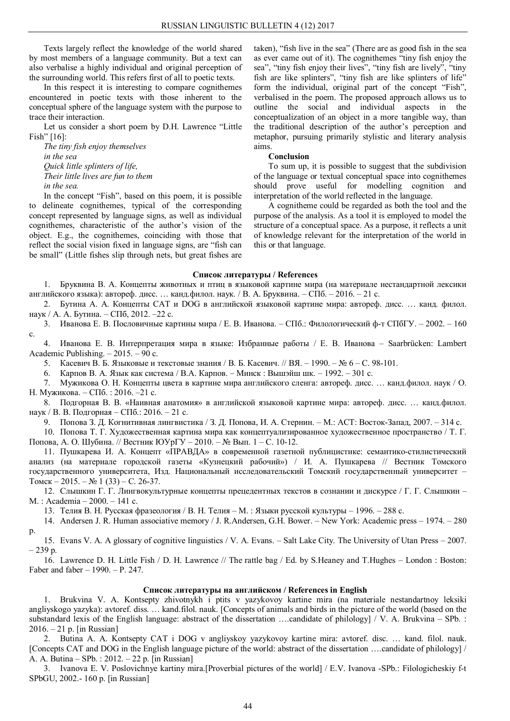Texts largely reflect the knowledge of the world shared by most members of a language community. But a text can also verbalise a highly individual and original perception of the surrounding world. This refers first of all to poetic texts.

In this respect it is interesting to compare cognithemes encountered in poetic texts with those inherent to the conceptual sphere of the language system with the purpose to trace their interaction.

Let us consider a short poem by D.H. Lawrence "Little Fish" [16]:

*The tiny fish enjoy themselves in the sea Quick little splinters of life, Their little lives are fun to them in the sea.*

In the concept "Fish", based on this poem, it is possible to delineate cognithemes, typical of the corresponding concept represented by language signs, as well as individual cognithemes, characteristic of the author's vision of the object. E.g., the cognithemes, coinciding with those that reflect the social vision fixed in language signs, are "fish can be small" (Little fishes slip through nets, but great fishes are taken), "fish live in the sea" (There are as good fish in the sea as ever came out of it). The cognithemes "tiny fish enjoy the sea", "tiny fish enjoy their lives", "tiny fish are lively", "tiny fish are like splinters", "tiny fish are like splinters of life" form the individual, original part of the concept "Fish", verbalised in the poem. The proposed approach allows us to outline the social and individual aspects in the conceptualization of an object in a more tangible way, than the traditional description of the author's perception and metaphor, pursuing primarily stylistic and literary analysis aims.

#### **Conclusion**

To sum up, it is possible to suggest that the subdivision of the language or textual conceptual space into cognithemes should prove useful for modelling cognition and interpretation of the world reflected in the language.

A cognitheme could be regarded as both the tool and the purpose of the analysis. As a tool it is employed to model the structure of a conceptual space. As a purpose, it reflects a unit of knowledge relevant for the interpretation of the world in this or that language.

#### **Список литературы / References**

1. Бруквина В. А. Концепты животных и птиц в языковой картине мира (на материале нестандартной лексики английского языка): автореф. дисc. … канд.филол. наук. / В. А. Бруквина. – СПб. – 2016. – 21 c.

2. Бутина А. А. Концепты CAT и DOG в английской языковой картине мира: автореф. дисc. … канд. филол. наук / А. А. Бутина. – СПб, 2012. –22 c.

3. Иванова Е. В. Пословичные картины мира / Е. В. Иванова. – СПб.: Филологический ф-т СПбГУ. – 2002. – 160 c.

4. Иванова Е. В. Интерпретация мира в языке: Избранные работы / Е. В. Иванова – Saarbrücken: Lambert Academic Publishing. – 2015. – 90 c.

5. Касевич В. Б. Языковые и текстовые знания / В. Б. Касевич. // ВЯ. – 1990. – № 6 – С. 98-101.

6. Карпов В. А. Язык как система / В.А. Карпов. – Минск : Вышэйш шк. – 1992. – 301 c.

7. Мужикова О. Н. Концепты цвета в картине мира английского сленга: автореф. дисс. … канд.филол. наук / О. Н. Мужикова. – СПб. : 2016. –21 c.

8. Подгорная В. В. «Наивная анатомия» в английской языковой картине мира: автореф. дисс. … канд.филол. наук / В. В. Подгорная – СПб.: 2016. – 21 c.

9. Попова З. Д. Когнитивная лингвистика / З. Д. Попова, И. А. Стернин. – М.: АСТ: Восток-Запад, 2007. – 314 c.

10. Попова Т. Г. Художественная картина мира как концептуализированное художественное пространство / Т. Г. Попова, А. О. Шубина. // Вестник ЮУрГУ – 2010. – № Вып. 1 – С. 10-12.

11. Пушкарева И. А. Концепт «ПРАВДА» в современной газетной публицистике: семантико-стилистический анализ (на материале городской газеты «Кузнецкий рабочий») / И. А. Пушкарева // Вестник Томского государственного университета, Изд. Национальный исследовательский Томский государственный университет – Томск – 2015. – № 1 (33) – С. 26-37.

12. Слышкин Г. Г. Лингвокультурные концепты прецедентных текстов в сознании и дискурсе / Г. Г. Слышкин – М. : Academia – 2000. – 141 с.

13. Телия В. Н. Русская фразеология / В. Н. Телия – М. : Языки русской культуры – 1996. – 288 с.

14. Andersen J. R. Human associative memory / J. R.Andersen, G.H. Bower. – New York: Academic press – 1974. – 280 p.

15. Evans V. A. A glossary of cognitive linguistics / V. A. Evans. – Salt Lake City. The University of Utan Press – 2007.  $-239n$ 

16. Lawrence D. H. Little Fish / D. H. Lawrence // The rattle bag / Ed. by S.Heaney and T.Hughes – London : Boston: Faber and faber – 1990. – P. 247.

## **Список литературы на английском / References in English**

1. Brukvina V. A. Kontsepty zhivotnykh i ptits v yazykovoy kartine mira (na materiale nestandartnoy leksiki angliyskogo yazyka): avtoref. diss. … kand.filol. nauk. [Concepts of animals and birds in the picture of the world (based on the substandard lexis of the English language: abstract of the dissertation ….candidate of philology] / V. A. Brukvina – SPb. : 2016. – 21 p. [in Russian]

2. Butina A. A. Kontsepty CAT i DOG v angliyskoy yazykovoy kartine mira: avtoref. disc. … kand. filol. nauk. [Concepts CAT and DOG in the English language picture of the world: abstract of the dissertation ….candidate of philology] / A. A. Butina – SPb. : 2012. – 22 p. [in Russian]

3. Ivanova E. V. Poslovichnye kartiny mira.[Proverbial pictures of the world] / E.V. Ivanova -SPb.: Filologicheskiy f-t SPbGU, 2002.- 160 p. [in Russian]